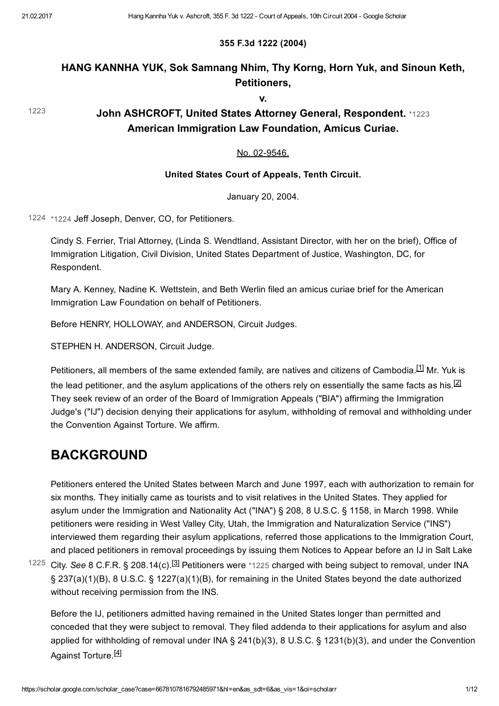[1223](#page-0-0)

### 355 F.3d 1222 (2004)

### HANG KANNHA YUK, Sok Samnang Nhim, Thy Korng, Horn Yuk, and Sinoun Keth, Petitioners,

<span id="page-0-0"></span>v.

John ASHCROFT, United States Attorney General, Respondent. [\\*1223](#page-0-0) American Immigration Law Foundation, Amicus Curiae.

### No. 02-9546.

### United States Court of Appeals, Tenth Circuit.

<span id="page-0-4"></span><span id="page-0-3"></span>January 20, 2004.

[1224](#page-0-1) [\\*1224](#page-0-1) Jeff Joseph, Denver, CO, for Petitioners.

<span id="page-0-1"></span>Cindy S. Ferrier, Trial Attorney, (Linda S. Wendtland, Assistant Director, with her on the brief), Office of Immigration Litigation, Civil Division, United States Department of Justice, Washington, DC, for Respondent.

Mary A. Kenney, Nadine K. Wettstein, and Beth Werlin filed an amicus curiae brief for the American Immigration Law Foundation on behalf of Petitioners.

Before HENRY, HOLLOWAY, and ANDERSON, Circuit Judges.

STEPHEN H. ANDERSON, Circuit Judge.

Petitioners, all members of the same extended family, are natives and citizens of Cambodia.<sup>[\[1\]](#page-10-0)</sup> Mr. Yuk is the lead petitioner, and the asylum applications of the others rely on essentially the same facts as his. $^{[2]}$  $^{[2]}$  $^{[2]}$ They seek review of an order of the Board of Immigration Appeals ("BIA") affirming the Immigration Judge's ("IJ") decision denying their applications for asylum, withholding of removal and withholding under the Convention Against Torture. We affirm.

## BACKGROUND

Petitioners entered the United States between March and June 1997, each with authorization to remain for six months. They initially came as tourists and to visit relatives in the United States. They applied for asylum under the Immigration and Nationality Act ("INA") § 208, 8 U.S.C. § 1158, in March 1998. While petitioners were residing in West Valley City, Utah, the Immigration and Naturalization Service ("INS") interviewed them regarding their asylum applications, referred those applications to the Immigration Court, and placed petitioners in removal proceedings by issuing them Notices to Appear before an IJ in Salt Lake

<sup>1225</sup> City. See 8 C.F.R. § 208.14(c).<sup>[\[3\]](#page-10-2)</sup> Petitioners were [\\*1225](#page-0-2) charged with being subject to removal, under INA § 237(a)(1)(B), 8 U.S.C. § 1227(a)(1)(B), for remaining in the United States beyond the date authorized without receiving permission from the INS.

<span id="page-0-6"></span><span id="page-0-5"></span><span id="page-0-2"></span>Before the IJ, petitioners admitted having remained in the United States longer than permitted and conceded that they were subject to removal. They filed addenda to their applications for asylum and also applied for withholding of removal under INA § 241(b)(3), 8 U.S.C. § 1231(b)(3), and under the Convention Against Torture.<sup>[<u>4</u>]</sup>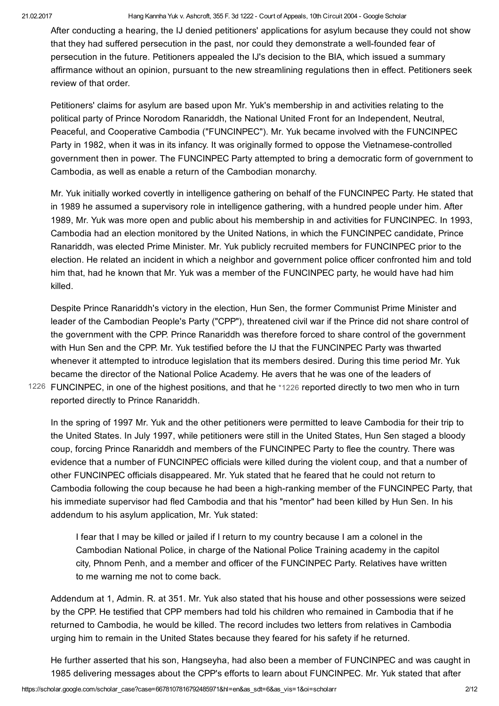After conducting a hearing, the IJ denied petitioners' applications for asylum because they could not show that they had suffered persecution in the past, nor could they demonstrate a well-founded fear of persecution in the future. Petitioners appealed the IJ's decision to the BIA, which issued a summary affirmance without an opinion, pursuant to the new streamlining regulations then in effect. Petitioners seek review of that order.

Petitioners' claims for asylum are based upon Mr. Yuk's membership in and activities relating to the political party of Prince Norodom Ranariddh, the National United Front for an Independent, Neutral, Peaceful, and Cooperative Cambodia ("FUNCINPEC"). Mr. Yuk became involved with the FUNCINPEC Party in 1982, when it was in its infancy. It was originally formed to oppose the Vietnamese-controlled government then in power. The FUNCINPEC Party attempted to bring a democratic form of government to Cambodia, as well as enable a return of the Cambodian monarchy.

Mr. Yuk initially worked covertly in intelligence gathering on behalf of the FUNCINPEC Party. He stated that in 1989 he assumed a supervisory role in intelligence gathering, with a hundred people under him. After 1989, Mr. Yuk was more open and public about his membership in and activities for FUNCINPEC. In 1993, Cambodia had an election monitored by the United Nations, in which the FUNCINPEC candidate, Prince Ranariddh, was elected Prime Minister. Mr. Yuk publicly recruited members for FUNCINPEC prior to the election. He related an incident in which a neighbor and government police officer confronted him and told him that, had he known that Mr. Yuk was a member of the FUNCINPEC party, he would have had him killed.

Despite Prince Ranariddh's victory in the election, Hun Sen, the former Communist Prime Minister and leader of the Cambodian People's Party ("CPP"), threatened civil war if the Prince did not share control of the government with the CPP. Prince Ranariddh was therefore forced to share control of the government with Hun Sen and the CPP. Mr. Yuk testified before the IJ that the FUNCINPEC Party was thwarted whenever it attempted to introduce legislation that its members desired. During this time period Mr. Yuk became the director of the National Police Academy. He avers that he was one of the leaders of FUNCINPEC, in one of the highest positions, and that he [\\*1226](#page-1-0) reported directly to two men who in turn [1226](#page-1-0)

reported directly to Prince Ranariddh. In the spring of 1997 Mr. Yuk and the other petitioners were permitted to leave Cambodia for their trip to

<span id="page-1-0"></span>the United States. In July 1997, while petitioners were still in the United States, Hun Sen staged a bloody coup, forcing Prince Ranariddh and members of the FUNCINPEC Party to flee the country. There was evidence that a number of FUNCINPEC officials were killed during the violent coup, and that a number of other FUNCINPEC officials disappeared. Mr. Yuk stated that he feared that he could not return to Cambodia following the coup because he had been a high-ranking member of the FUNCINPEC Party, that his immediate supervisor had fled Cambodia and that his "mentor" had been killed by Hun Sen. In his addendum to his asylum application, Mr. Yuk stated:

I fear that I may be killed or jailed if I return to my country because I am a colonel in the Cambodian National Police, in charge of the National Police Training academy in the capitol city, Phnom Penh, and a member and officer of the FUNCINPEC Party. Relatives have written to me warning me not to come back.

Addendum at 1, Admin. R. at 351. Mr. Yuk also stated that his house and other possessions were seized by the CPP. He testified that CPP members had told his children who remained in Cambodia that if he returned to Cambodia, he would be killed. The record includes two letters from relatives in Cambodia urging him to remain in the United States because they feared for his safety if he returned.

He further asserted that his son, Hangseyha, had also been a member of FUNCINPEC and was caught in 1985 delivering messages about the CPP's efforts to learn about FUNCINPEC. Mr. Yuk stated that after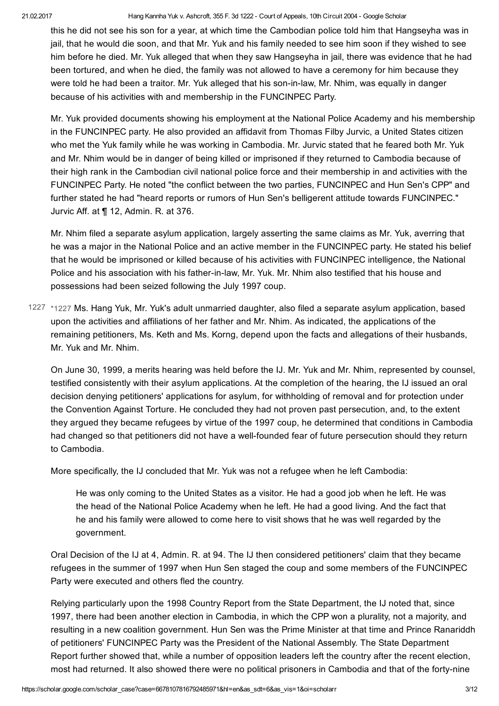this he did not see his son for a year, at which time the Cambodian police told him that Hangseyha was in jail, that he would die soon, and that Mr. Yuk and his family needed to see him soon if they wished to see him before he died. Mr. Yuk alleged that when they saw Hangseyha in jail, there was evidence that he had been tortured, and when he died, the family was not allowed to have a ceremony for him because they were told he had been a traitor. Mr. Yuk alleged that his son-in-law, Mr. Nhim, was equally in danger because of his activities with and membership in the FUNCINPEC Party.

Mr. Yuk provided documents showing his employment at the National Police Academy and his membership in the FUNCINPEC party. He also provided an affidavit from Thomas Filby Jurvic, a United States citizen who met the Yuk family while he was working in Cambodia. Mr. Jurvic stated that he feared both Mr. Yuk and Mr. Nhim would be in danger of being killed or imprisoned if they returned to Cambodia because of their high rank in the Cambodian civil national police force and their membership in and activities with the FUNCINPEC Party. He noted "the conflict between the two parties, FUNCINPEC and Hun Sen's CPP" and further stated he had "heard reports or rumors of Hun Sen's belligerent attitude towards FUNCINPEC." Jurvic Aff. at ¶ 12, Admin. R. at 376.

Mr. Nhim filed a separate asylum application, largely asserting the same claims as Mr. Yuk, averring that he was a major in the National Police and an active member in the FUNCINPEC party. He stated his belief that he would be imprisoned or killed because of his activities with FUNCINPEC intelligence, the National Police and his association with his father-in-law, Mr. Yuk. Mr. Nhim also testified that his house and possessions had been seized following the July 1997 coup.

<span id="page-2-0"></span>1227 [\\*1227](#page-2-0) Ms. Hang Yuk, Mr. Yuk's adult unmarried daughter, also filed a separate asylum application, based upon the activities and affiliations of her father and Mr. Nhim. As indicated, the applications of the remaining petitioners, Ms. Keth and Ms. Korng, depend upon the facts and allegations of their husbands, Mr. Yuk and Mr. Nhim.

On June 30, 1999, a merits hearing was held before the IJ. Mr. Yuk and Mr. Nhim, represented by counsel, testified consistently with their asylum applications. At the completion of the hearing, the IJ issued an oral decision denying petitioners' applications for asylum, for withholding of removal and for protection under the Convention Against Torture. He concluded they had not proven past persecution, and, to the extent they argued they became refugees by virtue of the 1997 coup, he determined that conditions in Cambodia had changed so that petitioners did not have a well-founded fear of future persecution should they return to Cambodia.

More specifically, the IJ concluded that Mr. Yuk was not a refugee when he left Cambodia:

He was only coming to the United States as a visitor. He had a good job when he left. He was the head of the National Police Academy when he left. He had a good living. And the fact that he and his family were allowed to come here to visit shows that he was well regarded by the government.

Oral Decision of the IJ at 4, Admin. R. at 94. The IJ then considered petitioners' claim that they became refugees in the summer of 1997 when Hun Sen staged the coup and some members of the FUNCINPEC Party were executed and others fled the country.

Relying particularly upon the 1998 Country Report from the State Department, the IJ noted that, since 1997, there had been another election in Cambodia, in which the CPP won a plurality, not a majority, and resulting in a new coalition government. Hun Sen was the Prime Minister at that time and Prince Ranariddh of petitioners' FUNCINPEC Party was the President of the National Assembly. The State Department Report further showed that, while a number of opposition leaders left the country after the recent election, most had returned. It also showed there were no political prisoners in Cambodia and that of the forty-nine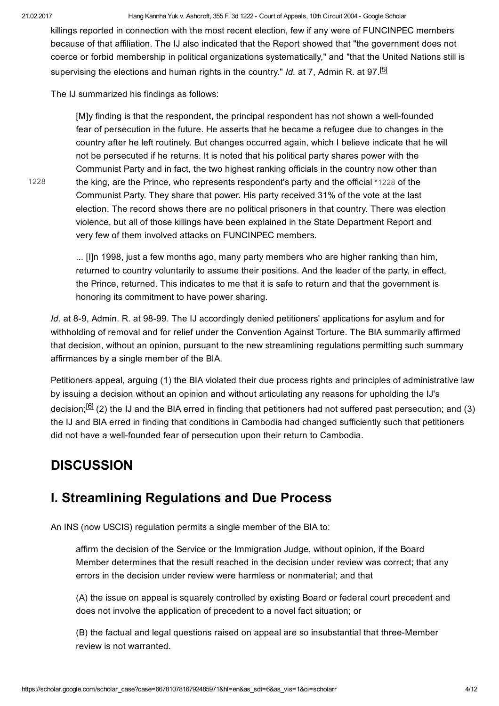[1228](#page-3-0)

#### 21.02.2017 Hang Kannha Yuk v. Ashcroft, 355 F. 3d 1222 Court of Appeals, 10th Circuit 2004 Google Scholar

killings reported in connection with the most recent election, few if any were of FUNCINPEC members because of that affiliation. The IJ also indicated that the Report showed that "the government does not coerce or forbid membership in political organizations systematically," and "that the United Nations still is supervising the elections and human rights in the country." Id. at 7, Admin R. at 97.<sup>[\[5\]](#page-10-4)</sup>

The IJ summarized his findings as follows:

<span id="page-3-1"></span>[M]y finding is that the respondent, the principal respondent has not shown a well-founded fear of persecution in the future. He asserts that he became a refugee due to changes in the country after he left routinely. But changes occurred again, which I believe indicate that he will not be persecuted if he returns. It is noted that his political party shares power with the Communist Party and in fact, the two highest ranking officials in the country now other than the king, are the Prince, who represents respondent's party and the official [\\*1228](#page-3-0) of the Communist Party. They share that power. His party received 31% of the vote at the last election. The record shows there are no political prisoners in that country. There was election violence, but all of those killings have been explained in the State Department Report and very few of them involved attacks on FUNCINPEC members.

<span id="page-3-0"></span>... [I]n 1998, just a few months ago, many party members who are higher ranking than him, returned to country voluntarily to assume their positions. And the leader of the party, in effect, the Prince, returned. This indicates to me that it is safe to return and that the government is honoring its commitment to have power sharing.

Id. at 8-9, Admin. R. at 98-99. The IJ accordingly denied petitioners' applications for asylum and for withholding of removal and for relief under the Convention Against Torture. The BIA summarily affirmed that decision, without an opinion, pursuant to the new streamlining regulations permitting such summary affirmances by a single member of the BIA.

<span id="page-3-2"></span>Petitioners appeal, arguing (1) the BIA violated their due process rights and principles of administrative law by issuing a decision without an opinion and without articulating any reasons for upholding the IJ's decision;<sup>[\[6\]](#page-10-5)</sup> (2) the IJ and the BIA erred in finding that petitioners had not suffered past persecution; and (3) the IJ and BIA erred in finding that conditions in Cambodia had changed sufficiently such that petitioners did not have a well-founded fear of persecution upon their return to Cambodia.

## **DISCUSSION**

### I. Streamlining Regulations and Due Process

An INS (now USCIS) regulation permits a single member of the BIA to:

affirm the decision of the Service or the Immigration Judge, without opinion, if the Board Member determines that the result reached in the decision under review was correct; that any errors in the decision under review were harmless or nonmaterial; and that

(A) the issue on appeal is squarely controlled by existing Board or federal court precedent and does not involve the application of precedent to a novel fact situation; or

(B) the factual and legal questions raised on appeal are so insubstantial that three-Member review is not warranted.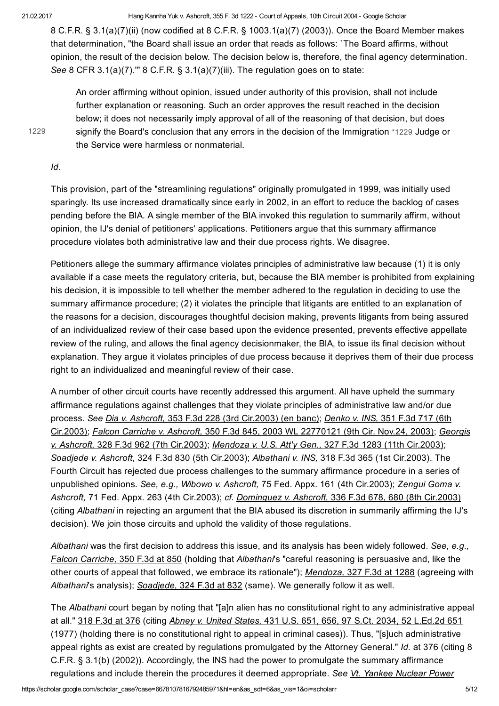8 C.F.R. § 3.1(a)(7)(ii) (now codified at 8 C.F.R. § 1003.1(a)(7) (2003)). Once the Board Member makes that determination, "the Board shall issue an order that reads as follows: `The Board affirms, without opinion, the result of the decision below. The decision below is, therefore, the final agency determination. See 8 CFR 3.1(a)(7)."" 8 C.F.R. § 3.1(a)(7)(iii). The regulation goes on to state:

[1229](#page-4-0)

<span id="page-4-0"></span>An order affirming without opinion, issued under authority of this provision, shall not include further explanation or reasoning. Such an order approves the result reached in the decision below; it does not necessarily imply approval of all of the reasoning of that decision, but does signify the Board's conclusion that any errors in the decision of the Immigration [\\*1229](#page-4-0) Judge or the Service were harmless or nonmaterial.

Id.

This provision, part of the "streamlining regulations" originally promulgated in 1999, was initially used sparingly. Its use increased dramatically since early in 2002, in an effort to reduce the backlog of cases pending before the BIA. A single member of the BIA invoked this regulation to summarily affirm, without opinion, the IJ's denial of petitioners' applications. Petitioners argue that this summary affirmance procedure violates both administrative law and their due process rights. We disagree.

Petitioners allege the summary affirmance violates principles of administrative law because (1) it is only available if a case meets the regulatory criteria, but, because the BIA member is prohibited from explaining his decision, it is impossible to tell whether the member adhered to the regulation in deciding to use the summary affirmance procedure; (2) it violates the principle that litigants are entitled to an explanation of the reasons for a decision, discourages thoughtful decision making, prevents litigants from being assured of an individualized review of their case based upon the evidence presented, prevents effective appellate review of the ruling, and allows the final agency decisionmaker, the BIA, to issue its final decision without explanation. They argue it violates principles of due process because it deprives them of their due process right to an individualized and meaningful review of their case.

A number of other circuit courts have recently addressed this argument. All have upheld the summary affirmance regulations against challenges that they violate principles of administrative law and/or due process. See Dia v. Ashcroft, 353 F.3d 228 (3rd Cir.2003) (en banc); Denko v. INS, 351 F.3d 717 (6th Cir.2003); Falcon Carriche v. Ashcroft, 350 F.3d 845, 2003 WL 22770121 (9th Cir. Nov.24, 2003); Georgis v. Ashcroft, 328 F.3d 962 (7th Cir.2003); Mendoza v. U.S. Att'y Gen., 327 F.3d 1283 (11th Cir.2003); Soadjede v. Ashcroft, 324 F.3d 830 (5th Cir.2003); Albathani v. INS, 318 F.3d 365 (1st Cir.2003). The Fourth Circuit has rejected due process challenges to the summary affirmance procedure in a series of unpublished opinions. See, e.g., Wibowo v. Ashcroft, 75 Fed. Appx. 161 (4th Cir.2003); Zengui Goma v. Ashcroft, 71 Fed. Appx. 263 (4th Cir.2003); cf. Dominguez v. Ashcroft, 336 F.3d 678, 680 (8th Cir.2003) (citing Albathani in rejecting an argument that the BIA abused its discretion in summarily affirming the IJ's decision). We join those circuits and uphold the validity of those regulations.

Albathani was the first decision to address this issue, and its analysis has been widely followed. See, e.g., Falcon Carriche, 350 F.3d at 850 (holding that Albathani's "careful reasoning is persuasive and, like the other courts of appeal that followed, we embrace its rationale"); Mendoza, 327 F.3d at 1288 (agreeing with Albathani's analysis); Soadiede, 324 F.3d at 832 (same). We generally follow it as well.

The Albathani court began by noting that "[a]n alien has no constitutional right to any administrative appeal at all." 318 F.3d at 376 (citing Abney v. United States, 431 U.S. 651, 656, 97 S.Ct. 2034, 52 L.Ed.2d 651 (1977) (holding there is no constitutional right to appeal in criminal cases)). Thus, "[s]uch administrative appeal rights as exist are created by regulations promulgated by the Attorney General." Id. at 376 (citing 8 C.F.R. § 3.1(b) (2002)). Accordingly, the INS had the power to promulgate the summary affirmance regulations and include therein the procedures it deemed appropriate. See Vt. Yankee Nuclear Power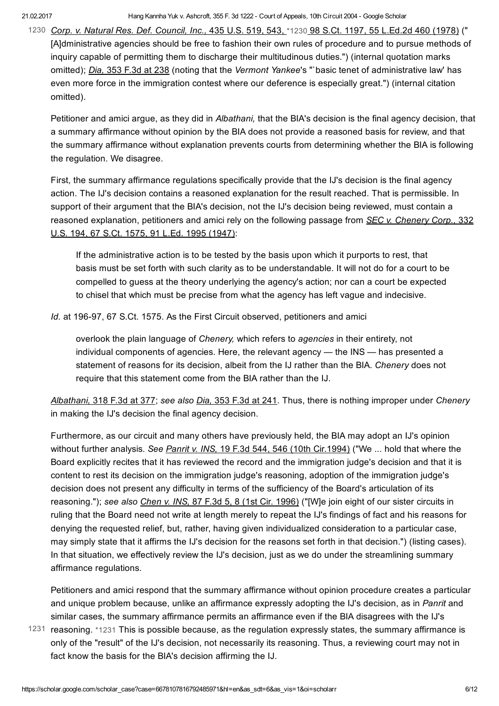1230 Corp. v. Natural Res. Def. Council, Inc., 435 U.S. 519, 543, [\\*1230](#page-5-0) 98 S.Ct. 1197, 55 L.Ed.2d 460 (1978) (" [A]dministrative agencies should be free to fashion their own rules of procedure and to pursue methods of inquiry capable of permitting them to discharge their multitudinous duties.") (internal quotation marks omitted); Dia, 353 F.3d at 238 (noting that the Vermont Yankee's "`basic tenet of administrative law' has even more force in the immigration contest where our deference is especially great.") (internal citation omitted).

<span id="page-5-0"></span>Petitioner and amici argue, as they did in Albathani, that the BIA's decision is the final agency decision, that a summary affirmance without opinion by the BIA does not provide a reasoned basis for review, and that the summary affirmance without explanation prevents courts from determining whether the BIA is following the regulation. We disagree.

First, the summary affirmance regulations specifically provide that the IJ's decision is the final agency action. The IJ's decision contains a reasoned explanation for the result reached. That is permissible. In support of their argument that the BIA's decision, not the IJ's decision being reviewed, must contain a reasoned explanation, petitioners and amici rely on the following passage from SEC v. Chenery Corp., 332 U.S. 194, 67 S.Ct. 1575, 91 L.Ed. 1995 (1947):

If the administrative action is to be tested by the basis upon which it purports to rest, that basis must be set forth with such clarity as to be understandable. It will not do for a court to be compelled to guess at the theory underlying the agency's action; nor can a court be expected to chisel that which must be precise from what the agency has left vague and indecisive.

Id. at 196-97, 67 S.Ct. 1575. As the First Circuit observed, petitioners and amici

overlook the plain language of Chenery, which refers to agencies in their entirety, not individual components of agencies. Here, the relevant agency — the INS — has presented a statement of reasons for its decision, albeit from the IJ rather than the BIA. Chenery does not require that this statement come from the BIA rather than the IJ.

Albathani, 318 F.3d at 377; see also Dia, 353 F.3d at 241. Thus, there is nothing improper under Chenery in making the IJ's decision the final agency decision.

Furthermore, as our circuit and many others have previously held, the BIA may adopt an IJ's opinion without further analysis. See Panrit v. INS, 19 F.3d 544, 546 (10th Cir.1994) ("We ... hold that where the Board explicitly recites that it has reviewed the record and the immigration judge's decision and that it is content to rest its decision on the immigration judge's reasoning, adoption of the immigration judge's decision does not present any difficulty in terms of the sufficiency of the Board's articulation of its reasoning."); see also Chen v. INS, 87 F.3d 5, 8 (1st Cir. 1996) ("[W]e join eight of our sister circuits in ruling that the Board need not write at length merely to repeat the IJ's findings of fact and his reasons for denying the requested relief, but, rather, having given individualized consideration to a particular case, may simply state that it affirms the IJ's decision for the reasons set forth in that decision.") (listing cases). In that situation, we effectively review the IJ's decision, just as we do under the streamlining summary affirmance regulations.

<span id="page-5-1"></span>Petitioners and amici respond that the summary affirmance without opinion procedure creates a particular and unique problem because, unlike an affirmance expressly adopting the IJ's decision, as in Panrit and similar cases, the summary affirmance permits an affirmance even if the BIA disagrees with the IJ's

1231 reasoning. [\\*1231](#page-5-1) This is possible because, as the regulation expressly states, the summary affirmance is only of the "result" of the IJ's decision, not necessarily its reasoning. Thus, a reviewing court may not in fact know the basis for the BIA's decision affirming the IJ.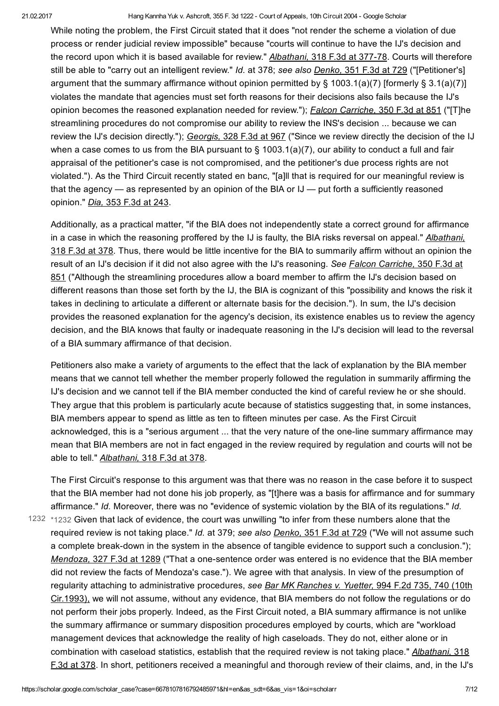While noting the problem, the First Circuit stated that it does "not render the scheme a violation of due process or render judicial review impossible" because "courts will continue to have the IJ's decision and the record upon which it is based available for review." Albathani, 318 F.3d at 377-78. Courts will therefore still be able to "carry out an intelligent review." Id. at 378; see also Denko, 351 F.3d at 729 ("[Petitioner's] argument that the summary affirmance without opinion permitted by § 1003.1(a)(7) [formerly § 3.1(a)(7)] violates the mandate that agencies must set forth reasons for their decisions also fails because the IJ's opinion becomes the reasoned explanation needed for review."); Falcon Carriche, 350 F.3d at 851 ("[T]he streamlining procedures do not compromise our ability to review the INS's decision ... because we can review the IJ's decision directly."); Georgis, 328 F.3d at 967 ("Since we review directly the decision of the IJ when a case comes to us from the BIA pursuant to  $\S$  1003.1(a)(7), our ability to conduct a full and fair appraisal of the petitioner's case is not compromised, and the petitioner's due process rights are not violated."). As the Third Circuit recently stated en banc, "[a]ll that is required for our meaningful review is that the agency — as represented by an opinion of the BIA or IJ — put forth a sufficiently reasoned opinion." Dia, 353 F.3d at 243.

Additionally, as a practical matter, "if the BIA does not independently state a correct ground for affirmance in a case in which the reasoning proffered by the IJ is faulty, the BIA risks reversal on appeal." Albathani, 318 F.3d at 378. Thus, there would be little incentive for the BIA to summarily affirm without an opinion the result of an IJ's decision if it did not also agree with the IJ's reasoning. See Falcon Carriche, 350 F.3d at 851 ("Although the streamlining procedures allow a board member to affirm the IJ's decision based on different reasons than those set forth by the IJ, the BIA is cognizant of this "possibility and knows the risk it takes in declining to articulate a different or alternate basis for the decision."). In sum, the IJ's decision provides the reasoned explanation for the agency's decision, its existence enables us to review the agency decision, and the BIA knows that faulty or inadequate reasoning in the IJ's decision will lead to the reversal of a BIA summary affirmance of that decision.

Petitioners also make a variety of arguments to the effect that the lack of explanation by the BIA member means that we cannot tell whether the member properly followed the regulation in summarily affirming the IJ's decision and we cannot tell if the BIA member conducted the kind of careful review he or she should. They argue that this problem is particularly acute because of statistics suggesting that, in some instances, BIA members appear to spend as little as ten to fifteen minutes per case. As the First Circuit acknowledged, this is a "serious argument ... that the very nature of the one-line summary affirmance may mean that BIA members are not in fact engaged in the review required by regulation and courts will not be able to tell." Albathani, 318 F.3d at 378.

<span id="page-6-0"></span>The First Circuit's response to this argument was that there was no reason in the case before it to suspect that the BIA member had not done his job properly, as "[t]here was a basis for affirmance and for summary affirmance." Id. Moreover, there was no "evidence of systemic violation by the BIA of its regulations." Id.  $1232$   $*1232$  Given that lack of evidence, the court was unwilling "to infer from these numbers alone that the required review is not taking place." *Id.* at 379; see also Denko, 351 F.3d at 729 ("We will not assume such a complete break-down in the system in the absence of tangible evidence to support such a conclusion."); Mendoza, 327 F.3d at 1289 ("That a one-sentence order was entered is no evidence that the BIA member did not review the facts of Mendoza's case."). We agree with that analysis. In view of the presumption of regularity attaching to administrative procedures, see Bar MK Ranches v. Yuetter, 994 F.2d 735, 740 (10th Cir.1993), we will not assume, without any evidence, that BIA members do not follow the regulations or do not perform their jobs properly. Indeed, as the First Circuit noted, a BIA summary affirmance is not unlike the summary affirmance or summary disposition procedures employed by courts, which are "workload management devices that acknowledge the reality of high caseloads. They do not, either alone or in combination with caseload statistics, establish that the required review is not taking place." Albathani, 318 F.3d at 378. In short, petitioners received a meaningful and thorough review of their claims, and, in the IJ's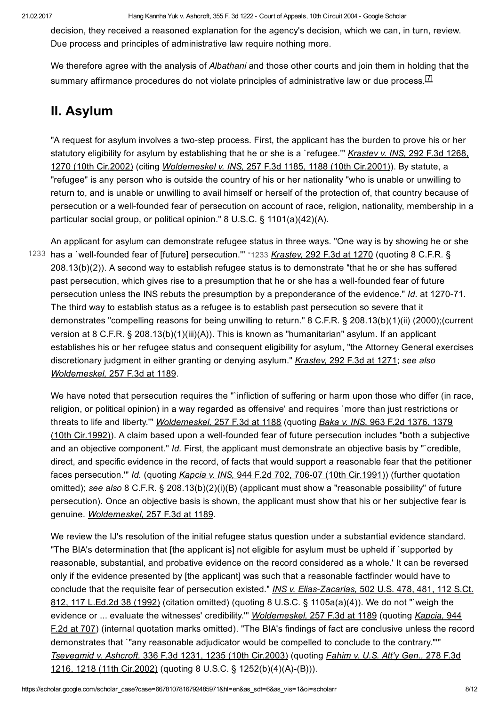decision, they received a reasoned explanation for the agency's decision, which we can, in turn, review. Due process and principles of administrative law require nothing more.

<span id="page-7-1"></span>We therefore agree with the analysis of Albathani and those other courts and join them in holding that the summary affirmance procedures do not violate principles of administrative law or due process.<sup>[\[7\]](#page-10-6)</sup>

# II. Asylum

"A request for asylum involves a two-step process. First, the applicant has the burden to prove his or her statutory eligibility for asylum by establishing that he or she is a 'refugee.'" Krastev v. INS, 292 F.3d 1268, 1270 (10th Cir.2002) (citing Woldemeskel v. INS, 257 F.3d 1185, 1188 (10th Cir.2001)). By statute, a "refugee" is any person who is outside the country of his or her nationality "who is unable or unwilling to return to, and is unable or unwilling to avail himself or herself of the protection of, that country because of persecution or a well-founded fear of persecution on account of race, religion, nationality, membership in a particular social group, or political opinion." 8 U.S.C. § 1101(a)(42)(A).

<span id="page-7-0"></span>An applicant for asylum can demonstrate refugee status in three ways. "One way is by showing he or she 1233 has a `well-founded fear of [future] persecution."" [\\*1233](#page-7-0) Krastev, 292 F.3d at 1270 (quoting 8 C.F.R. § 208.13(b)(2)). A second way to establish refugee status is to demonstrate "that he or she has suffered past persecution, which gives rise to a presumption that he or she has a well-founded fear of future persecution unless the INS rebuts the presumption by a preponderance of the evidence." Id. at 1270-71. The third way to establish status as a refugee is to establish past persecution so severe that it demonstrates "compelling reasons for being unwilling to return." 8 C.F.R. § 208.13(b)(1)(ii) (2000);(current version at 8 C.F.R. § 208.13(b)(1)(iii)(A)). This is known as "humanitarian" asylum. If an applicant establishes his or her refugee status and consequent eligibility for asylum, "the Attorney General exercises discretionary judgment in either granting or denying asylum." Krastev, 292 F.3d at 1271; see also Woldemeskel, 257 F.3d at 1189.

We have noted that persecution requires the "`infliction of suffering or harm upon those who differ (in race, religion, or political opinion) in a way regarded as offensive' and requires `more than just restrictions or threats to life and liberty."" Woldemeskel, 257 F.3d at 1188 (quoting Baka v. INS, 963 F.2d 1376, 1379 (10th Cir.1992)). A claim based upon a wellfounded fear of future persecution includes "both a subjective and an objective component." Id. First, the applicant must demonstrate an objective basis by "`credible, direct, and specific evidence in the record, of facts that would support a reasonable fear that the petitioner faces persecution."" Id. (quoting Kapcia v. INS, 944 F.2d 702, 706-07 (10th Cir.1991)) (further quotation omitted); see also 8 C.F.R. § 208.13(b)(2)(i)(B) (applicant must show a "reasonable possibility" of future persecution). Once an objective basis is shown, the applicant must show that his or her subjective fear is genuine. Woldemeskel, 257 F.3d at 1189.

We review the IJ's resolution of the initial refugee status question under a substantial evidence standard. "The BIA's determination that [the applicant is] not eligible for asylum must be upheld if `supported by reasonable, substantial, and probative evidence on the record considered as a whole.' It can be reversed only if the evidence presented by [the applicant] was such that a reasonable factfinder would have to conclude that the requisite fear of persecution existed." INS v. Elias-Zacarias, 502 U.S. 478, 481, 112 S.Ct. 812, 117 L.Ed.2d 38 (1992) (citation omitted) (quoting 8 U.S.C. § 1105a(a)(4)). We do not "`weigh the evidence or ... evaluate the witnesses' credibility."" *Woldemeskel*, 257 F.3d at 1189 (quoting Kapcia, 944 F.2d at 707) (internal quotation marks omitted). "The BIA's findings of fact are conclusive unless the record demonstrates that `"any reasonable adjudicator would be compelled to conclude to the contrary."'" Tsevegmid v. Ashcroft, 336 F.3d 1231, 1235 (10th Cir.2003) (quoting Fahim v. U.S. Att'y Gen., 278 F.3d 1216, 1218 (11th Cir.2002) (quoting 8 U.S.C. § 1252(b)(4)(A)-(B))).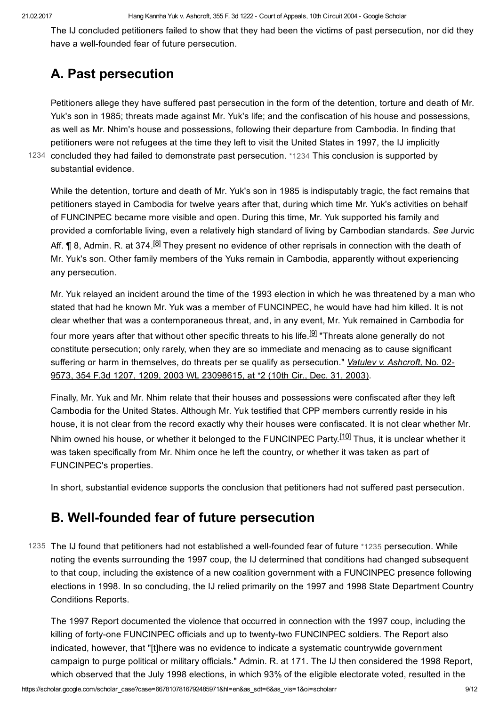The IJ concluded petitioners failed to show that they had been the victims of past persecution, nor did they have a well-founded fear of future persecution.

# A. Past persecution

Petitioners allege they have suffered past persecution in the form of the detention, torture and death of Mr. Yuk's son in 1985; threats made against Mr. Yuk's life; and the confiscation of his house and possessions, as well as Mr. Nhim's house and possessions, following their departure from Cambodia. In finding that petitioners were not refugees at the time they left to visit the United States in 1997, the IJ implicitly 1234 concluded they had failed to demonstrate past persecution. [\\*1234](#page-8-0) This conclusion is supported by substantial evidence.

<span id="page-8-0"></span>While the detention, torture and death of Mr. Yuk's son in 1985 is indisputably tragic, the fact remains that petitioners stayed in Cambodia for twelve years after that, during which time Mr. Yuk's activities on behalf of FUNCINPEC became more visible and open. During this time, Mr. Yuk supported his family and provided a comfortable living, even a relatively high standard of living by Cambodian standards. See Jurvic Aff. ¶ 8, Admin. R. at 374.<sup>[\[8\]](#page-10-7)</sup> They present no evidence of other reprisals in connection with the death of Mr. Yuk's son. Other family members of the Yuks remain in Cambodia, apparently without experiencing any persecution.

<span id="page-8-3"></span><span id="page-8-2"></span>Mr. Yuk relayed an incident around the time of the 1993 election in which he was threatened by a man who stated that had he known Mr. Yuk was a member of FUNCINPEC, he would have had him killed. It is not clear whether that was a contemporaneous threat, and, in any event, Mr. Yuk remained in Cambodia for four more years after that without other specific threats to his life.<sup>[<u>9</u>]</sup> "Threats alone generally do not constitute persecution; only rarely, when they are so immediate and menacing as to cause significant suffering or harm in themselves, do threats per se qualify as persecution." Vatulev v. Ashcroft, No. 02-9573, 354 F.3d 1207, 1209, 2003 WL 23098615, at \*2 (10th Cir., Dec. 31, 2003).

<span id="page-8-4"></span>Finally, Mr. Yuk and Mr. Nhim relate that their houses and possessions were confiscated after they left Cambodia for the United States. Although Mr. Yuk testified that CPP members currently reside in his house, it is not clear from the record exactly why their houses were confiscated. It is not clear whether Mr. Nhim owned his house, or whether it belonged to the FUNCINPEC Party.<sup>[\[10\]](#page-10-9)</sup> Thus, it is unclear whether it was taken specifically from Mr. Nhim once he left the country, or whether it was taken as part of FUNCINPEC's properties.

In short, substantial evidence supports the conclusion that petitioners had not suffered past persecution.

## <span id="page-8-1"></span>B. Well-founded fear of future persecution

 $1235$  The IJ found that petitioners had not established a well-founded fear of future [\\*1235](#page-8-1) persecution. While noting the events surrounding the 1997 coup, the IJ determined that conditions had changed subsequent to that coup, including the existence of a new coalition government with a FUNCINPEC presence following elections in 1998. In so concluding, the IJ relied primarily on the 1997 and 1998 State Department Country Conditions Reports.

The 1997 Report documented the violence that occurred in connection with the 1997 coup, including the killing of forty-one FUNCINPEC officials and up to twenty-two FUNCINPEC soldiers. The Report also indicated, however, that "[t]here was no evidence to indicate a systematic countrywide government campaign to purge political or military officials." Admin. R. at 171. The IJ then considered the 1998 Report, which observed that the July 1998 elections, in which 93% of the eligible electorate voted, resulted in the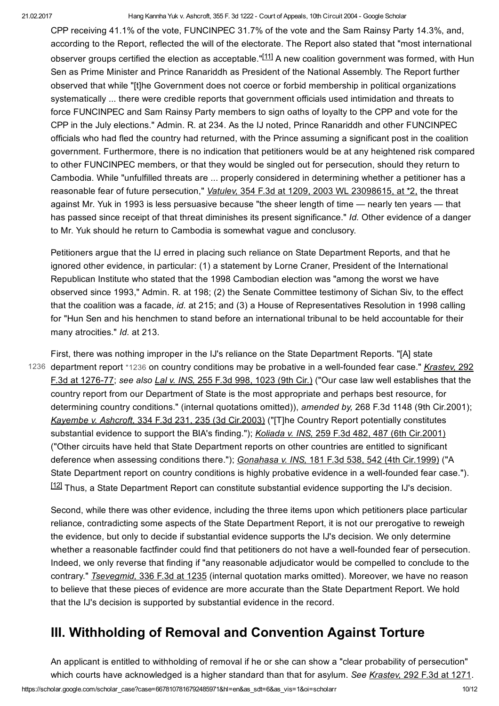<span id="page-9-1"></span>CPP receiving 41.1% of the vote, FUNCINPEC 31.7% of the vote and the Sam Rainsy Party 14.3%, and, according to the Report, reflected the will of the electorate. The Report also stated that "most international observer groups certified the election as acceptable."<sup>[\[11\]](#page-11-0)</sup> A new coalition government was formed, with Hun Sen as Prime Minister and Prince Ranariddh as President of the National Assembly. The Report further observed that while "[t]he Government does not coerce or forbid membership in political organizations systematically ... there were credible reports that government officials used intimidation and threats to force FUNCINPEC and Sam Rainsy Party members to sign oaths of loyalty to the CPP and vote for the CPP in the July elections." Admin. R. at 234. As the IJ noted, Prince Ranariddh and other FUNCINPEC officials who had fled the country had returned, with the Prince assuming a significant post in the coalition government. Furthermore, there is no indication that petitioners would be at any heightened risk compared to other FUNCINPEC members, or that they would be singled out for persecution, should they return to Cambodia. While "unfulfilled threats are ... properly considered in determining whether a petitioner has a reasonable fear of future persecution," Vatulev, 354 F.3d at 1209, 2003 WL 23098615, at \*2, the threat against Mr. Yuk in 1993 is less persuasive because "the sheer length of time — nearly ten years — that has passed since receipt of that threat diminishes its present significance." Id. Other evidence of a danger to Mr. Yuk should he return to Cambodia is somewhat vague and conclusory.

Petitioners argue that the IJ erred in placing such reliance on State Department Reports, and that he ignored other evidence, in particular: (1) a statement by Lorne Craner, President of the International Republican Institute who stated that the 1998 Cambodian election was "among the worst we have observed since 1993," Admin. R. at 198; (2) the Senate Committee testimony of Sichan Siv, to the effect that the coalition was a facade, id. at 215; and (3) a House of Representatives Resolution in 1998 calling for "Hun Sen and his henchmen to stand before an international tribunal to be held accountable for their many atrocities." Id. at 213.

<span id="page-9-0"></span>First, there was nothing improper in the IJ's reliance on the State Department Reports. "[A] state 1236 department report [\\*1236](#page-9-0) on country conditions may be probative in a well-founded fear case." *Krastev, 292* F.3d at 1276-77; see also Lal v. INS, 255 F.3d 998, 1023 (9th Cir.) ("Our case law well establishes that the country report from our Department of State is the most appropriate and perhaps best resource, for determining country conditions." (internal quotations omitted)), amended by, 268 F.3d 1148 (9th Cir.2001); Kayembe v. Ashcroft, 334 F.3d 231, 235 (3d Cir.2003) ("[T]he Country Report potentially constitutes substantial evidence to support the BIA's finding."); Koliada v. INS, 259 F.3d 482, 487 (6th Cir.2001) ("Other circuits have held that State Department reports on other countries are entitled to significant deference when assessing conditions there."); Gonahasa v. INS, 181 F.3d 538, 542 (4th Cir.1999) ("A State Department report on country conditions is highly probative evidence in a well-founded fear case."). [\[12\]](#page-11-1) Thus, a State Department Report can constitute substantial evidence supporting the IJ's decision.

<span id="page-9-2"></span>Second, while there was other evidence, including the three items upon which petitioners place particular reliance, contradicting some aspects of the State Department Report, it is not our prerogative to reweigh the evidence, but only to decide if substantial evidence supports the IJ's decision. We only determine whether a reasonable factfinder could find that petitioners do not have a well-founded fear of persecution. Indeed, we only reverse that finding if "any reasonable adjudicator would be compelled to conclude to the contrary." Tsevegmid, 336 F.3d at 1235 (internal quotation marks omitted). Moreover, we have no reason to believe that these pieces of evidence are more accurate than the State Department Report. We hold that the IJ's decision is supported by substantial evidence in the record.

## III. Withholding of Removal and Convention Against Torture

An applicant is entitled to withholding of removal if he or she can show a "clear probability of persecution" which courts have acknowledged is a higher standard than that for asylum. See Krastev, 292 F.3d at 1271.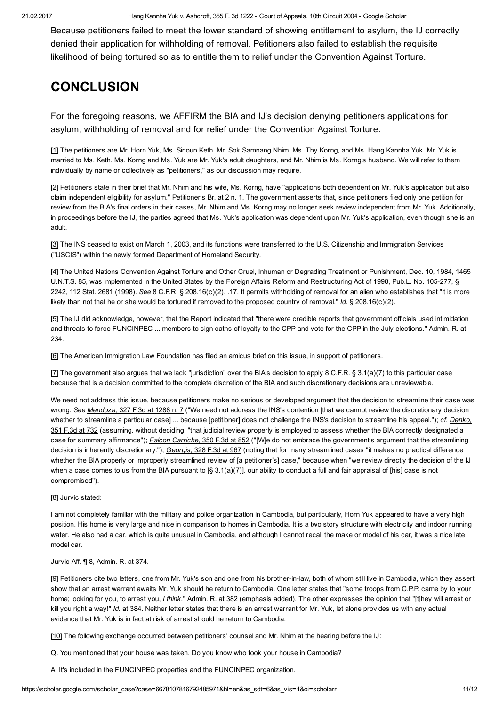Because petitioners failed to meet the lower standard of showing entitlement to asylum, the IJ correctly denied their application for withholding of removal. Petitioners also failed to establish the requisite likelihood of being tortured so as to entitle them to relief under the Convention Against Torture.

# **CONCLUSION**

For the foregoing reasons, we AFFIRM the BIA and IJ's decision denying petitioners applications for asylum, withholding of removal and for relief under the Convention Against Torture.

<span id="page-10-0"></span>[\[1\]](#page-0-3) The petitioners are Mr. Horn Yuk, Ms. Sinoun Keth, Mr. Sok Samnang Nhim, Ms. Thy Korng, and Ms. Hang Kannha Yuk. Mr. Yuk is married to Ms. Keth. Ms. Korng and Ms. Yuk are Mr. Yuk's adult daughters, and Mr. Nhim is Ms. Korng's husband. We will refer to them individually by name or collectively as "petitioners," as our discussion may require.

<span id="page-10-1"></span>[\[2\]](#page-0-4) Petitioners state in their brief that Mr. Nhim and his wife, Ms. Korng, have "applications both dependent on Mr. Yuk's application but also claim independent eligibility for asylum." Petitioner's Br. at 2 n. 1. The government asserts that, since petitioners filed only one petition for review from the BIA's final orders in their cases, Mr. Nhim and Ms. Korng may no longer seek review independent from Mr. Yuk. Additionally, in proceedings before the IJ, the parties agreed that Ms. Yuk's application was dependent upon Mr. Yuk's application, even though she is an adult.

<span id="page-10-2"></span>[\[3\]](#page-0-5) The INS ceased to exist on March 1, 2003, and its functions were transferred to the U.S. Citizenship and Immigration Services ("USCIS") within the newly formed Department of Homeland Security.

<span id="page-10-3"></span>[\[4\]](#page-0-6) The United Nations Convention Against Torture and Other Cruel, Inhuman or Degrading Treatment or Punishment, Dec. 10, 1984, 1465 U.N.T.S. 85, was implemented in the United States by the Foreign Affairs Reform and Restructuring Act of 1998, Pub.L. No. 105277, § 2242, 112 Stat. 2681 (1998). See 8 C.F.R. § 208.16(c)(2), .17. It permits withholding of removal for an alien who establishes that "it is more likely than not that he or she would be tortured if removed to the proposed country of removal." Id.  $\S 208.16(c)(2)$ .

<span id="page-10-4"></span>[\[5\]](#page-3-1) The IJ did acknowledge, however, that the Report indicated that "there were credible reports that government officials used intimidation and threats to force FUNCINPEC ... members to sign oaths of loyalty to the CPP and vote for the CPP in the July elections." Admin. R. at 234.

<span id="page-10-5"></span>[\[6\]](#page-3-2) The American Immigration Law Foundation has filed an amicus brief on this issue, in support of petitioners.

<span id="page-10-6"></span>[\[7\]](#page-7-1) The government also argues that we lack "jurisdiction" over the BIA's decision to apply 8 C.F.R. § 3.1(a)(7) to this particular case because that is a decision committed to the complete discretion of the BIA and such discretionary decisions are unreviewable.

We need not address this issue, because petitioners make no serious or developed argument that the decision to streamline their case was wrong. See Mendoza, 327 F.3d at 1288 n. 7 ("We need not address the INS's contention [that we cannot review the discretionary decision whether to streamline a particular case] ... because [petitioner] does not challenge the INS's decision to streamline his appeal."); cf. Denko, 351 F.3d at 732 (assuming, without deciding, "that judicial review properly is employed to assess whether the BIA correctly designated a case for summary affirmance"); Falcon Carriche, 350 F.3d at 852 ("[W]e do not embrace the government's argument that the streamlining decision is inherently discretionary."); Georgis, 328 F.3d at 967 (noting that for many streamlined cases "it makes no practical difference whether the BIA properly or improperly streamlined review of [a petitioner's] case," because when "we review directly the decision of the IJ when a case comes to us from the BIA pursuant to  $[\S 3.1(a)(7)]$ , our ability to conduct a full and fair appraisal of [his] case is not compromised").

#### <span id="page-10-7"></span>[\[8\]](#page-8-2) Jurvic stated:

I am not completely familiar with the military and police organization in Cambodia, but particularly, Horn Yuk appeared to have a very high position. His home is very large and nice in comparison to homes in Cambodia. It is a two story structure with electricity and indoor running water. He also had a car, which is quite unusual in Cambodia, and although I cannot recall the make or model of his car, it was a nice late model car.

#### Jurvic Aff. ¶ 8, Admin. R. at 374.

<span id="page-10-8"></span>[\[9\]](#page-8-3) Petitioners cite two letters, one from Mr. Yuk's son and one from his brother-in-law, both of whom still live in Cambodia, which they assert show that an arrest warrant awaits Mr. Yuk should he return to Cambodia. One letter states that "some troops from C.P.P. came by to your home; looking for you, to arrest you, I think." Admin. R. at 382 (emphasis added). The other expresses the opinion that "[t]hey will arrest or kill you right a way!" Id. at 384. Neither letter states that there is an arrest warrant for Mr. Yuk, let alone provides us with any actual evidence that Mr. Yuk is in fact at risk of arrest should he return to Cambodia.

<span id="page-10-9"></span>[\[10\]](#page-8-4) The following exchange occurred between petitioners' counsel and Mr. Nhim at the hearing before the IJ:

Q. You mentioned that your house was taken. Do you know who took your house in Cambodia?

A. It's included in the FUNCINPEC properties and the FUNCINPEC organization.